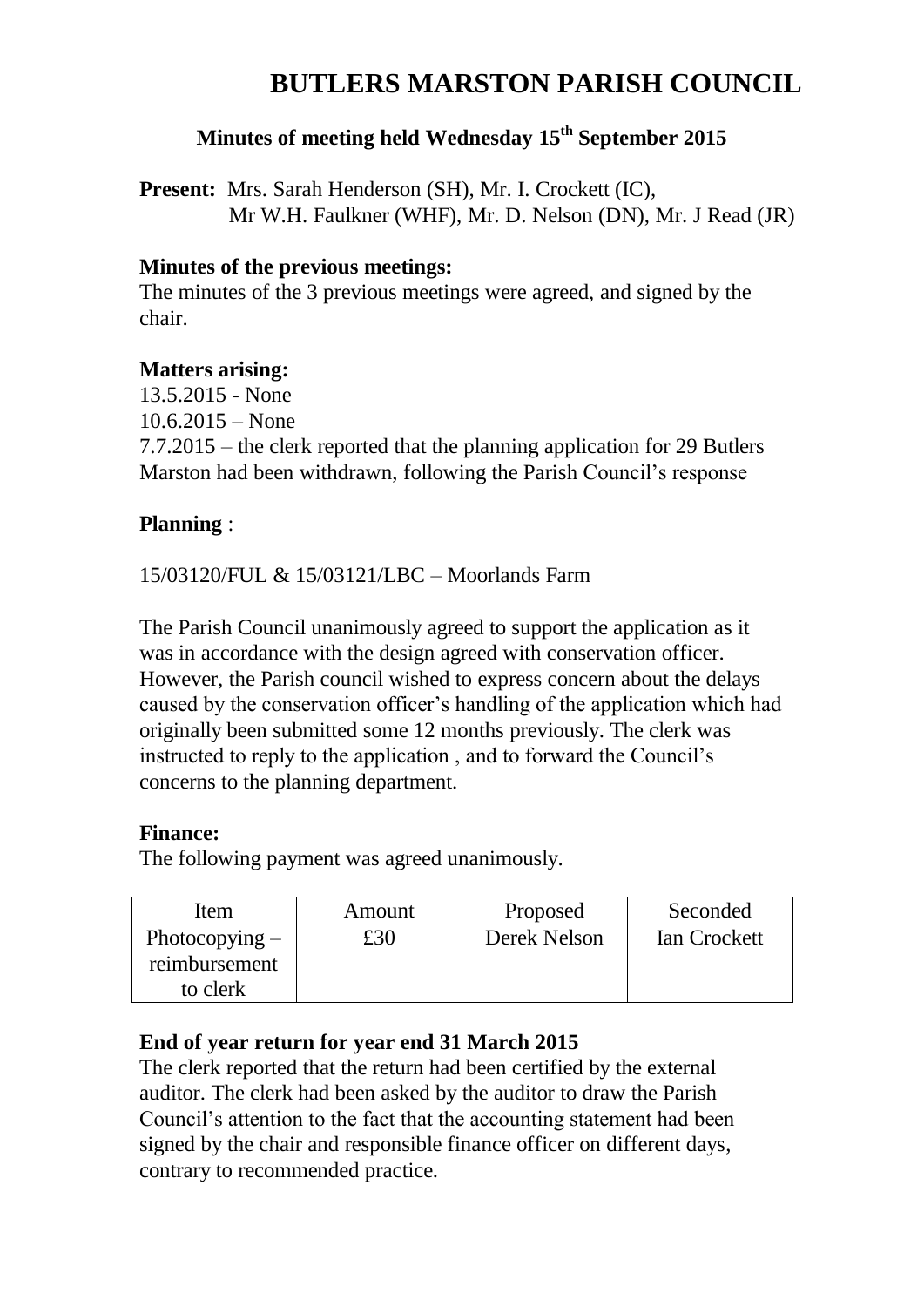## **BUTLERS MARSTON PARISH COUNCIL**

## **Minutes of meeting held Wednesday 15th September 2015**

**Present:** Mrs. Sarah Henderson (SH), Mr. I. Crockett (IC), Mr W.H. Faulkner (WHF), Mr. D. Nelson (DN), Mr. J Read (JR)

#### **Minutes of the previous meetings:**

The minutes of the 3 previous meetings were agreed, and signed by the chair.

#### **Matters arising:**

13.5.2015 - None 10.6.2015 – None 7.7.2015 – the clerk reported that the planning application for 29 Butlers Marston had been withdrawn, following the Parish Council's response

#### **Planning** :

15/03120/FUL & 15/03121/LBC – Moorlands Farm

The Parish Council unanimously agreed to support the application as it was in accordance with the design agreed with conservation officer. However, the Parish council wished to express concern about the delays caused by the conservation officer's handling of the application which had originally been submitted some 12 months previously. The clerk was instructed to reply to the application , and to forward the Council's concerns to the planning department.

#### **Finance:**

The following payment was agreed unanimously.

| Item             | Amount | Proposed     | Seconded     |
|------------------|--------|--------------|--------------|
| Photocopying $-$ | £30    | Derek Nelson | Ian Crockett |
| reimbursement    |        |              |              |
| to clerk         |        |              |              |

#### **End of year return for year end 31 March 2015**

The clerk reported that the return had been certified by the external auditor. The clerk had been asked by the auditor to draw the Parish Council's attention to the fact that the accounting statement had been signed by the chair and responsible finance officer on different days, contrary to recommended practice.